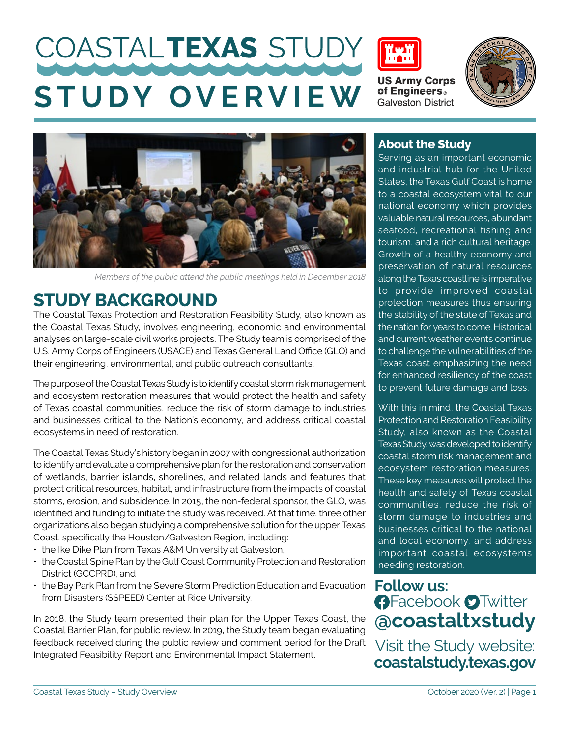# COASTALTEXAS STUDY **STUDY OVERVIEW**



**US Army Corps<br>of Engineers Galveston District** 





*Members of the public attend the public meetings held in December 2018*

## **STUDY BACKGROUND**

The Coastal Texas Protection and Restoration Feasibility Study, also known as the Coastal Texas Study, involves engineering, economic and environmental analyses on large-scale civil works projects. The Study team is comprised of the U.S. Army Corps of Engineers (USACE) and Texas General Land Office (GLO) and their engineering, environmental, and public outreach consultants.

The purpose of the Coastal Texas Study is to identify coastal storm risk management and ecosystem restoration measures that would protect the health and safety of Texas coastal communities, reduce the risk of storm damage to industries and businesses critical to the Nation's economy, and address critical coastal ecosystems in need of restoration.

The Coastal Texas Study's history began in 2007 with congressional authorization to identify and evaluate a comprehensive plan for the restoration and conservation of wetlands, barrier islands, shorelines, and related lands and features that protect critical resources, habitat, and infrastructure from the impacts of coastal storms, erosion, and subsidence. In 2015, the non-federal sponsor, the GLO, was identified and funding to initiate the study was received. At that time, three other organizations also began studying a comprehensive solution for the upper Texas Coast, specifically the Houston/Galveston Region, including:

- the Ike Dike Plan from Texas A&M University at Galveston,
- the Coastal Spine Plan by the Gulf Coast Community Protection and Restoration District (GCCPRD), and
- the Bay Park Plan from the Severe Storm Prediction Education and Evacuation from Disasters (SSPEED) Center at Rice University.

In 2018, the Study team presented their plan for the Upper Texas Coast, the Coastal Barrier Plan, for public review. In 2019, the Study team began evaluating feedback received during the public review and comment period for the Draft Integrated Feasibility Report and Environmental Impact Statement.

### **About the Study**

Serving as an important economic and industrial hub for the United States, the Texas Gulf Coast is home to a coastal ecosystem vital to our national economy which provides valuable natural resources, abundant seafood, recreational fishing and tourism, and a rich cultural heritage. Growth of a healthy economy and preservation of natural resources along the Texas coastline is imperative to provide improved coastal protection measures thus ensuring the stability of the state of Texas and the nation for years to come. Historical and current weather events continue to challenge the vulnerabilities of the Texas coast emphasizing the need for enhanced resiliency of the coast to prevent future damage and loss.

With this in mind, the Coastal Texas Protection and Restoration Feasibility Study, also known as the Coastal Texas Study, was developed to identify coastal storm risk management and ecosystem restoration measures. These key measures will protect the health and safety of Texas coastal communities, reduce the risk of storm damage to industries and businesses critical to the national and local economy, and address important coastal ecosystems needing restoration.

**Follow us: A**Facebook **O**Twitter **@coastaltxstudy**

Visit the Study website: **coastalstudy.texas.gov**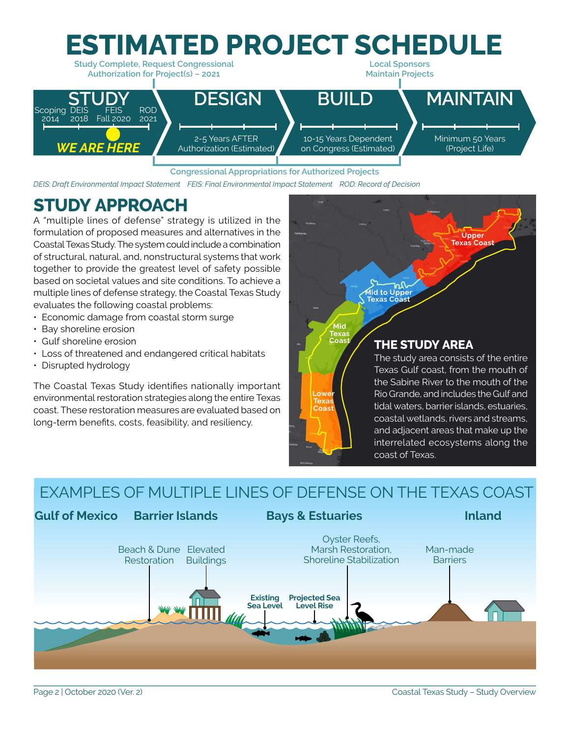

#### **Congressional Appropriations for Authorized Projects**

*DEIS: Draft Environmental Impact Statement FEIS: Final Environmental Impact Statement ROD: Record of Decision*

# **STUDY APPROACH**

A "multiple lines of defense" strategy is utilized in the formulation of proposed measures and alternatives in the Coastal Texas Study. The system could include a combination of structural, natural, and, nonstructural systems that work together to provide the greatest level of safety possible based on societal values and site conditions. To achieve a multiple lines of defense strategy, the Coastal Texas Study evaluates the following coastal problems:

- Economic damage from coastal storm surge
- Bay shoreline erosion
- Gulf shoreline erosion
- Loss of threatened and endangered critical habitats
- Disrupted hydrology

The Coastal Texas Study identifies nationally important environmental restoration strategies along the entire Texas coast. These restoration measures are evaluated based on long-term benefits, costs, feasibility, and resiliency.



### EXAMPLES OF MULTIPLE LINES OF DEFENSE ON THE TEXAS COAST

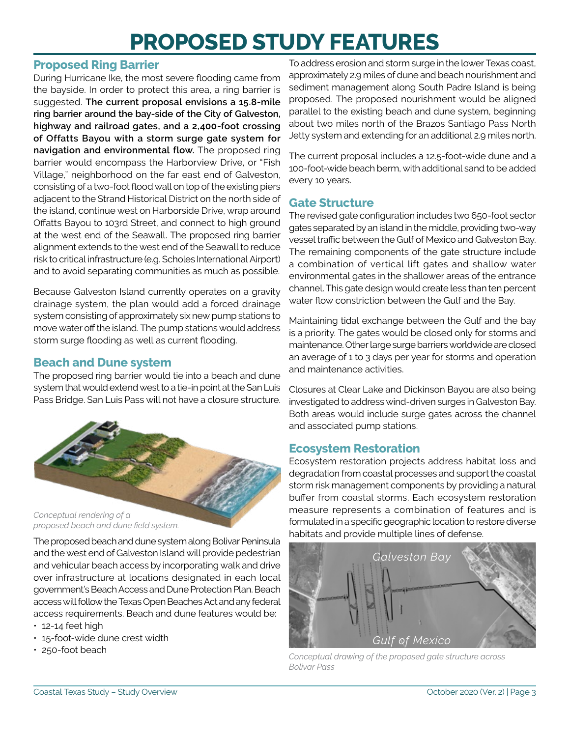# **PROPOSED STUDY FEATURES**

### **Proposed Ring Barrier**

During Hurricane Ike, the most severe flooding came from the bayside. In order to protect this area, a ring barrier is suggested. **The current proposal envisions a 15.8-mile ring barrier around the bay-side of the City of Galveston, highway and railroad gates, and a 2,400-foot crossing of Offatts Bayou with a storm surge gate system for navigation and environmental flow.** The proposed ring barrier would encompass the Harborview Drive, or "Fish Village," neighborhood on the far east end of Galveston, consisting of a two-foot flood wall on top of the existing piers adjacent to the Strand Historical District on the north side of the island, continue west on Harborside Drive, wrap around Offatts Bayou to 103rd Street, and connect to high ground at the west end of the Seawall. The proposed ring barrier alignment extends to the west end of the Seawall to reduce risk to critical infrastructure (e.g. Scholes International Airport) and to avoid separating communities as much as possible.

Because Galveston Island currently operates on a gravity drainage system, the plan would add a forced drainage system consisting of approximately six new pump stations to move water off the island. The pump stations would address storm surge flooding as well as current flooding.

### **Beach and Dune system**

The proposed ring barrier would tie into a beach and dune system that would extend west to a tie-in point at the San Luis Pass Bridge. San Luis Pass will not have a closure structure.



*proposed beach and dune field system.*

The proposed beach and dune system along Bolivar Peninsula and the west end of Galveston Island will provide pedestrian and vehicular beach access by incorporating walk and drive over infrastructure at locations designated in each local government's Beach Access and Dune Protection Plan. Beach access will follow the Texas Open Beaches Act and any federal access requirements. Beach and dune features would be:

- 12-14 feet high
- 15-foot-wide dune crest width
- 250-foot beach

To address erosion and storm surge in the lower Texas coast, approximately 2.9 miles of dune and beach nourishment and sediment management along South Padre Island is being proposed. The proposed nourishment would be aligned parallel to the existing beach and dune system, beginning about two miles north of the Brazos Santiago Pass North Jetty system and extending for an additional 2.9 miles north.

The current proposal includes a 12.5-foot-wide dune and a 100-foot-wide beach berm, with additional sand to be added every 10 years.

### **Gate Structure**

The revised gate configuration includes two 650-foot sector gates separated by an island in the middle, providing two-way vessel traffic between the Gulf of Mexico and Galveston Bay. The remaining components of the gate structure include a combination of vertical lift gates and shallow water environmental gates in the shallower areas of the entrance channel. This gate design would create less than ten percent water flow constriction between the Gulf and the Bay.

Maintaining tidal exchange between the Gulf and the bay is a priority. The gates would be closed only for storms and maintenance. Other large surge barriers worldwide are closed an average of 1 to 3 days per year for storms and operation and maintenance activities.

Closures at Clear Lake and Dickinson Bayou are also being investigated to address wind-driven surges in Galveston Bay. Both areas would include surge gates across the channel and associated pump stations.

### **Ecosystem Restoration**

Ecosystem restoration projects address habitat loss and degradation from coastal processes and support the coastal storm risk management components by providing a natural buffer from coastal storms. Each ecosystem restoration measure represents a combination of features and is formulated in a specific geographic location to restore diverse habitats and provide multiple lines of defense.



*Conceptual drawing of the proposed gate structure across Bolivar Pass*